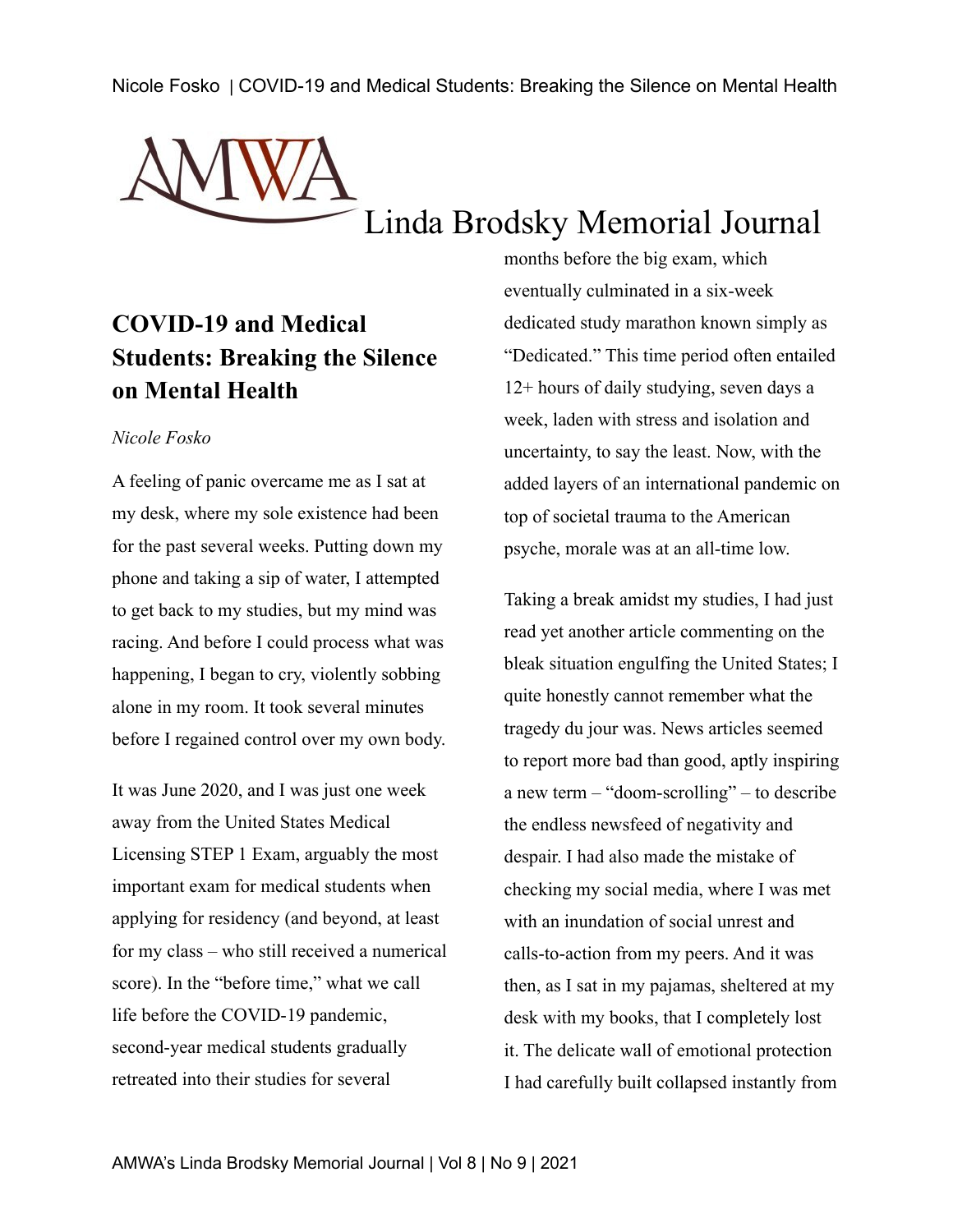

## **COVID-19 and Medical Students: Breaking the Silence on Mental Health**

## *Nicole Fosko*

A feeling of panic overcame me as I sat at my desk, where my sole existence had been for the past several weeks. Putting down my phone and taking a sip of water, I attempted to get back to my studies, but my mind was racing. And before I could process what was happening, I began to cry, violently sobbing alone in my room. It took several minutes before I regained control over my own body.

It was June 2020, and I was just one week away from the United States Medical Licensing STEP 1 Exam, arguably the most important exam for medical students when applying for residency (and beyond, at least for my class – who still received a numerical score). In the "before time," what we call life before the COVID-19 pandemic, second-year medical students gradually retreated into their studies for several

months before the big exam, which eventually culminated in a six-week dedicated study marathon known simply as "Dedicated." This time period often entailed 12+ hours of daily studying, seven days a week, laden with stress and isolation and uncertainty, to say the least. Now, with the added layers of an international pandemic on top of societal trauma to the American psyche, morale was at an all-time low.

Taking a break amidst my studies, I had just read yet another article commenting on the bleak situation engulfing the United States; I quite honestly cannot remember what the tragedy du jour was. News articles seemed to report more bad than good, aptly inspiring a new term – "doom-scrolling" – to describe the endless newsfeed of negativity and despair. I had also made the mistake of checking my social media, where I was met with an inundation of social unrest and calls-to-action from my peers. And it was then, as I sat in my pajamas, sheltered at my desk with my books, that I completely lost it. The delicate wall of emotional protection I had carefully built collapsed instantly from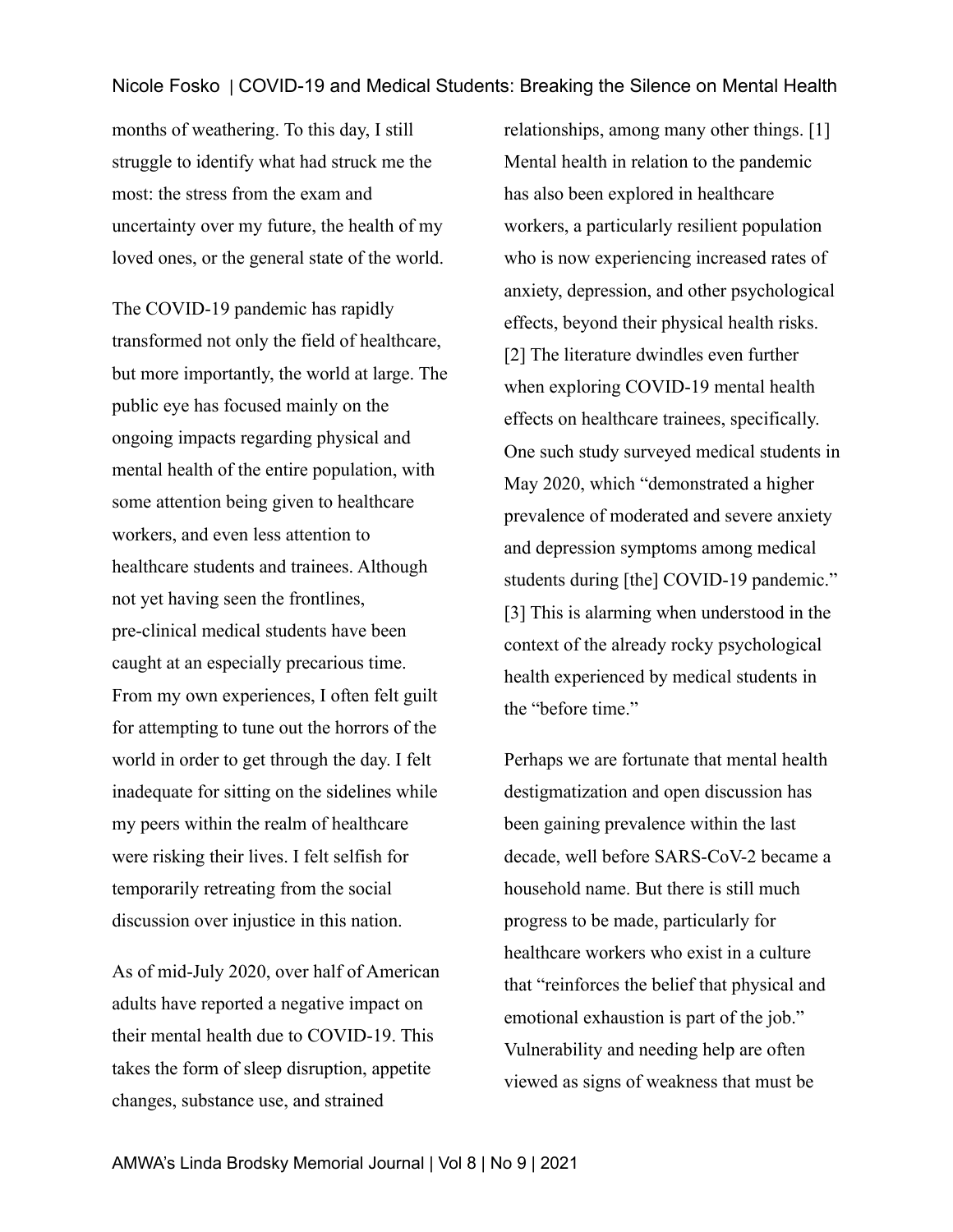months of weathering. To this day, I still struggle to identify what had struck me the most: the stress from the exam and uncertainty over my future, the health of my loved ones, or the general state of the world.

The COVID-19 pandemic has rapidly transformed not only the field of healthcare, but more importantly, the world at large. The public eye has focused mainly on the ongoing impacts regarding physical and mental health of the entire population, with some attention being given to healthcare workers, and even less attention to healthcare students and trainees. Although not yet having seen the frontlines, pre-clinical medical students have been caught at an especially precarious time. From my own experiences, I often felt guilt for attempting to tune out the horrors of the world in order to get through the day. I felt inadequate for sitting on the sidelines while my peers within the realm of healthcare were risking their lives. I felt selfish for temporarily retreating from the social discussion over injustice in this nation.

As of mid-July 2020, over half of American adults have reported a negative impact on their mental health due to COVID-19. This takes the form of sleep disruption, appetite changes, substance use, and strained

relationships, among many other things. [1] Mental health in relation to the pandemic has also been explored in healthcare workers, a particularly resilient population who is now experiencing increased rates of anxiety, depression, and other psychological effects, beyond their physical health risks. [2] The literature dwindles even further when exploring COVID-19 mental health effects on healthcare trainees, specifically. One such study surveyed medical students in May 2020, which "demonstrated a higher prevalence of moderated and severe anxiety and depression symptoms among medical students during [the] COVID-19 pandemic." [3] This is alarming when understood in the context of the already rocky psychological health experienced by medical students in the "before time."

Perhaps we are fortunate that mental health destigmatization and open discussion has been gaining prevalence within the last decade, well before SARS-CoV-2 became a household name. But there is still much progress to be made, particularly for healthcare workers who exist in a culture that "reinforces the belief that physical and emotional exhaustion is part of the job." Vulnerability and needing help are often viewed as signs of weakness that must be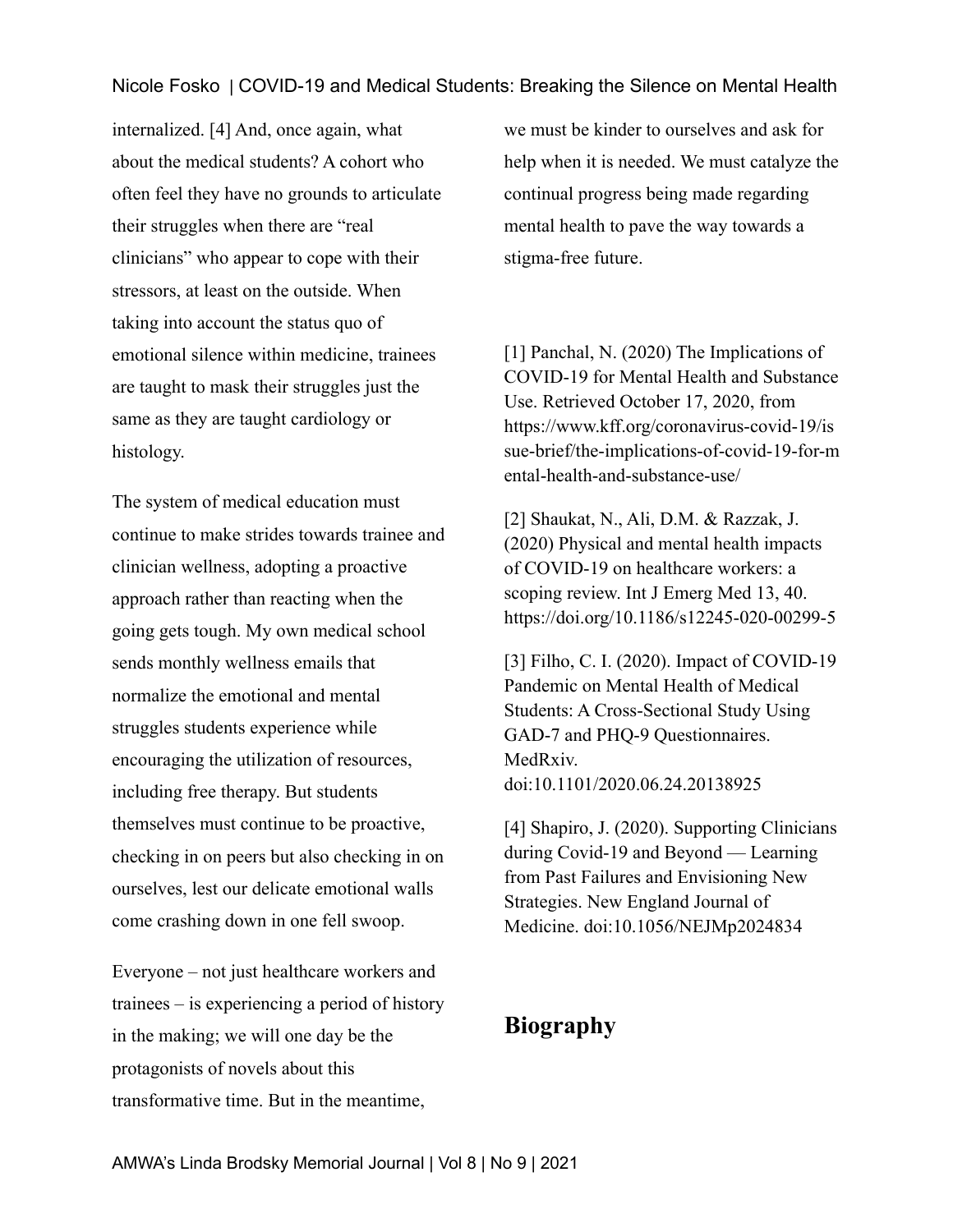internalized. [4] And, once again, what about the medical students? A cohort who often feel they have no grounds to articulate their struggles when there are "real clinicians" who appear to cope with their stressors, at least on the outside. When taking into account the status quo of emotional silence within medicine, trainees are taught to mask their struggles just the same as they are taught cardiology or histology.

The system of medical education must continue to make strides towards trainee and clinician wellness, adopting a proactive approach rather than reacting when the going gets tough. My own medical school sends monthly wellness emails that normalize the emotional and mental struggles students experience while encouraging the utilization of resources, including free therapy. But students themselves must continue to be proactive, checking in on peers but also checking in on ourselves, lest our delicate emotional walls come crashing down in one fell swoop.

Everyone – not just healthcare workers and trainees – is experiencing a period of history in the making; we will one day be the protagonists of novels about this transformative time. But in the meantime,

we must be kinder to ourselves and ask for help when it is needed. We must catalyze the continual progress being made regarding mental health to pave the way towards a stigma-free future.

[1] Panchal, N. (2020) The Implications of COVID-19 for Mental Health and Substance Use. Retrieved October 17, 2020, from https://www.kff.org/coronavirus-covid-19/is sue-brief/the-implications-of-covid-19-for-m ental-health-and-substance-use/

[2] Shaukat, N., Ali, D.M. & Razzak, J. (2020) Physical and mental health impacts of COVID-19 on healthcare workers: a scoping review. Int J Emerg Med 13, 40. https://doi.org/10.1186/s12245-020-00299-5

[3] Filho, C. I. (2020). Impact of COVID-19 Pandemic on Mental Health of Medical Students: A Cross-Sectional Study Using GAD-7 and PHQ-9 Questionnaires. MedRxiv. doi:10.1101/2020.06.24.20138925

[4] Shapiro, J. (2020). Supporting Clinicians during Covid-19 and Beyond — Learning from Past Failures and Envisioning New Strategies. New England Journal of Medicine. doi:10.1056/NEJMp2024834

## **Biography**